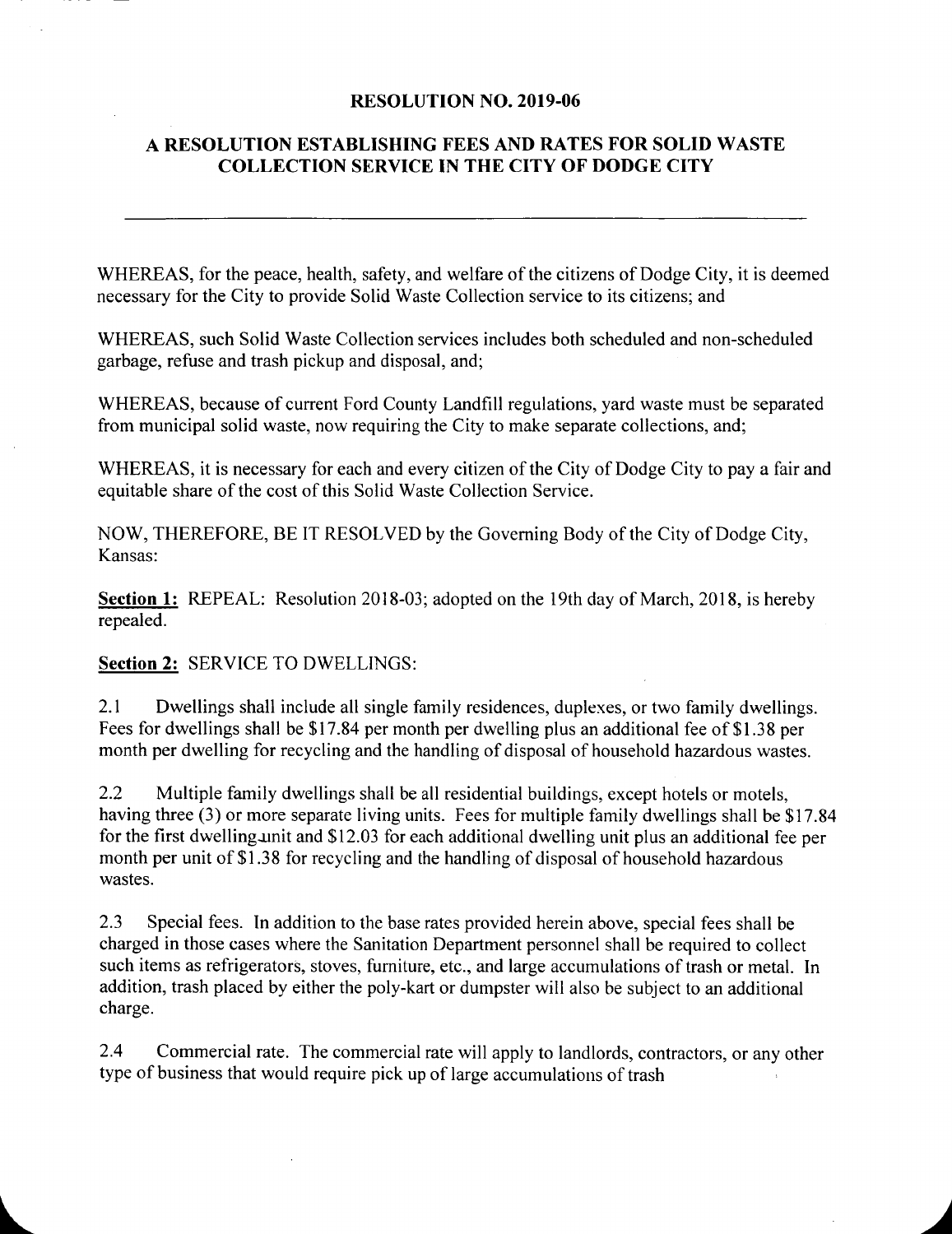#### RESOLUTION NO. 2019-06

# A RESOLUTION ESTABLISHING FEES AND RATES FOR SOLID WASTE COLLECTION SERVICE IN THE CITY OF DODGE CITY

WHEREAS, for the peace, health, safety, and welfare of the citizens of Dodge City, it is deemed necessary for the City to provide Solid Waste Collection service to its citizens; and

WHEREAS, such Solid Waste Collection services includes both scheduled and non-scheduled garbage, refuse and trash pickup and disposal, and;

WHEREAS, because of current Ford County Landfill regulations, yard waste must be separated from municipal solid waste, now requiring the City to make separate collections, and;

WHEREAS, it is necessary for each and every citizen of the City of Dodge City to pay a fair and equitable share of the cost of this Solid Waste Collection Service.

NOW, THEREFORE, BE IT RESOLVED by the Governing Body of the City of Dodge City, Kansas:

Section 1: REPEAL: Resolution 2018-03; adopted on the 19th day of March, 2018, is hereby repealed.

#### Section 2: SERVICE TO DWELLINGS:

2.1 Dwellings shall include all single family residences, duplexes, or two family dwellings. Fees for dwellings shall be \$17.84 per month per dwelling plus an additional fee of \$1.38 per month per dwelling for recycling and the handling of disposal of household hazardous wastes.

2.2 Multiple family dwellings shall be all residential buildings, except hotels or motels, having three (3) or more separate living units. Fees for multiple family dwellings shall be \$17.84 for the first dwelling unit and \$12.03 for each additional dwelling unit plus an additional fee per month per unit of \$1.38 for recycling and the handling of disposal of household hazardous wastes.

2.3 Special fees. In addition to the base rates provided herein above, special fees shall be charged in those cases where the Sanitation Department personnel shall be required to collect such items as refrigerators, stoves, furniture, etc., and large accumulations of trash or metal. In addition, trash placed by either the poly-kart or dumpster will also be subject to an additional charge.

2.4 Commercial rate. The commercial rate will apply to landlords, contractors, or any other type of business that would require pick up of large accumulations of trash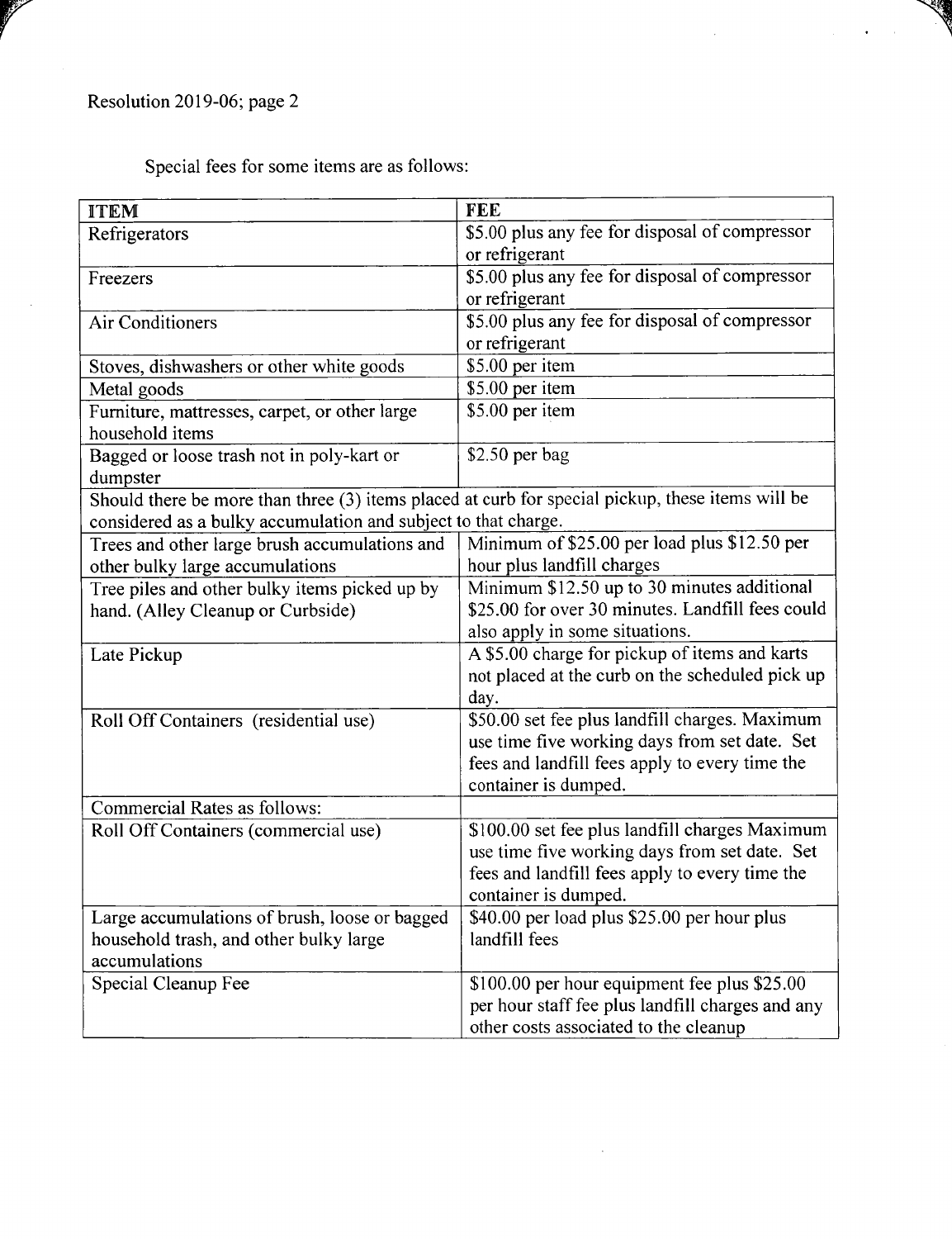Special fees for some items are as follows:

| <b>ITEM</b>                                                                                      | <b>FEE</b>                                       |
|--------------------------------------------------------------------------------------------------|--------------------------------------------------|
| Refrigerators                                                                                    | \$5.00 plus any fee for disposal of compressor   |
|                                                                                                  | or refrigerant                                   |
| Freezers                                                                                         | \$5.00 plus any fee for disposal of compressor   |
|                                                                                                  | or refrigerant                                   |
| <b>Air Conditioners</b>                                                                          | \$5.00 plus any fee for disposal of compressor   |
|                                                                                                  | or refrigerant                                   |
| Stoves, dishwashers or other white goods                                                         | \$5.00 per item                                  |
| Metal goods                                                                                      | \$5.00 per item                                  |
| Furniture, mattresses, carpet, or other large                                                    | \$5.00 per item                                  |
| household items                                                                                  |                                                  |
| Bagged or loose trash not in poly-kart or                                                        | \$2.50 per bag                                   |
| dumpster                                                                                         |                                                  |
| Should there be more than three (3) items placed at curb for special pickup, these items will be |                                                  |
| considered as a bulky accumulation and subject to that charge.                                   |                                                  |
| Trees and other large brush accumulations and                                                    | Minimum of \$25.00 per load plus \$12.50 per     |
| other bulky large accumulations                                                                  | hour plus landfill charges                       |
| Tree piles and other bulky items picked up by                                                    | Minimum \$12.50 up to 30 minutes additional      |
| hand. (Alley Cleanup or Curbside)                                                                | \$25.00 for over 30 minutes. Landfill fees could |
|                                                                                                  | also apply in some situations.                   |
| Late Pickup                                                                                      | A \$5.00 charge for pickup of items and karts    |
|                                                                                                  | not placed at the curb on the scheduled pick up  |
|                                                                                                  | day.                                             |
| Roll Off Containers (residential use)                                                            | \$50.00 set fee plus landfill charges. Maximum   |
|                                                                                                  | use time five working days from set date. Set    |
|                                                                                                  | fees and landfill fees apply to every time the   |
|                                                                                                  | container is dumped.                             |
| <b>Commercial Rates as follows:</b>                                                              |                                                  |
| Roll Off Containers (commercial use)                                                             | \$100.00 set fee plus landfill charges Maximum   |
|                                                                                                  | use time five working days from set date. Set    |
|                                                                                                  | fees and landfill fees apply to every time the   |
|                                                                                                  | container is dumped.                             |
| Large accumulations of brush, loose or bagged                                                    | \$40.00 per load plus \$25.00 per hour plus      |
| household trash, and other bulky large                                                           | landfill fees                                    |
| accumulations                                                                                    |                                                  |
| Special Cleanup Fee                                                                              | \$100.00 per hour equipment fee plus \$25.00     |
|                                                                                                  | per hour staff fee plus landfill charges and any |
|                                                                                                  | other costs associated to the cleanup            |

 $\sim$ 

**CALLES** 

 $\sim$   $\sim$  $\mathcal{L}^{\pm}$